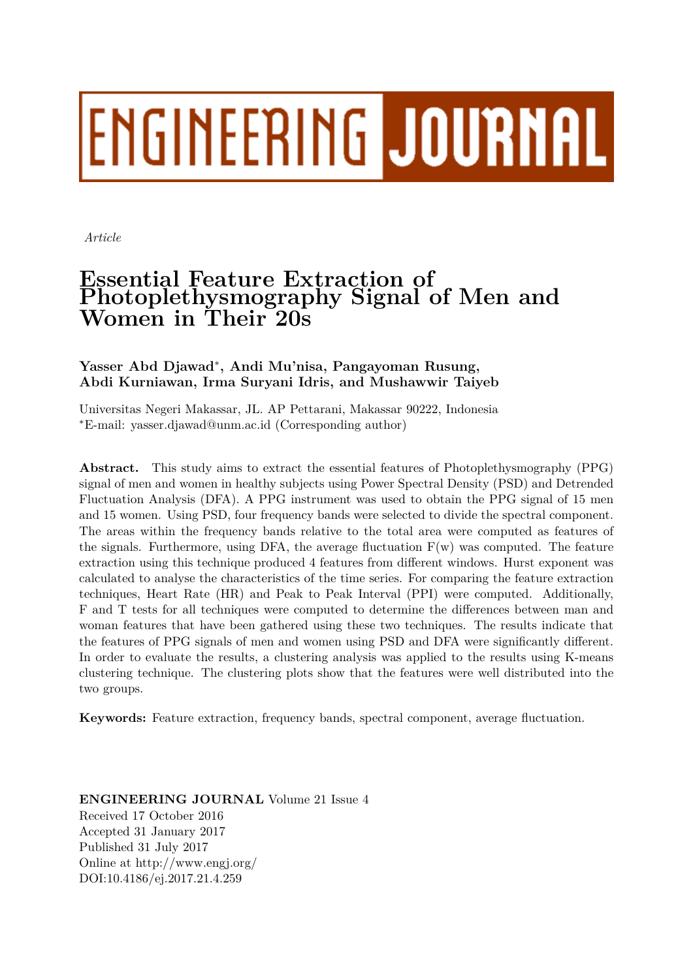# **ENGINEERING JOURNAL**

*Article*

# **Essential Feature Extraction of Photoplethysmography Signal of Men and Women in Their 20s**

## **Yasser Abd Djawad***<sup>∗</sup>* **, Andi Mu'nisa, Pangayoman Rusung, Abdi Kurniawan, Irma Suryani Idris, and Mushawwir Taiyeb**

Universitas Negeri Makassar, JL. AP Pettarani, Makassar 90222, Indonesia *∗*E-mail: yasser.djawad@unm.ac.id (Corresponding author)

**Abstract.** This study aims to extract the essential features of Photoplethysmography (PPG) signal of men and women in healthy subjects using Power Spectral Density (PSD) and Detrended Fluctuation Analysis (DFA). A PPG instrument was used to obtain the PPG signal of 15 men and 15 women. Using PSD, four frequency bands were selected to divide the spectral component. The areas within the frequency bands relative to the total area were computed as features of the signals. Furthermore, using DFA, the average fluctuation  $F(w)$  was computed. The feature extraction using this technique produced 4 features from different windows. Hurst exponent was calculated to analyse the characteristics of the time series. For comparing the feature extraction techniques, Heart Rate (HR) and Peak to Peak Interval (PPI) were computed. Additionally, F and T tests for all techniques were computed to determine the differences between man and woman features that have been gathered using these two techniques. The results indicate that the features of PPG signals of men and women using PSD and DFA were significantly different. In order to evaluate the results, a clustering analysis was applied to the results using K-means clustering technique. The clustering plots show that the features were well distributed into the two groups.

**Keywords:** Feature extraction, frequency bands, spectral component, average fluctuation.

**ENGINEERING JOURNAL** Volume 21 Issue 4 Received 17 October 2016 Accepted 31 January 2017 Published 31 July 2017 Online at http://www.engj.org/ DOI:10.4186/ej.2017.21.4.259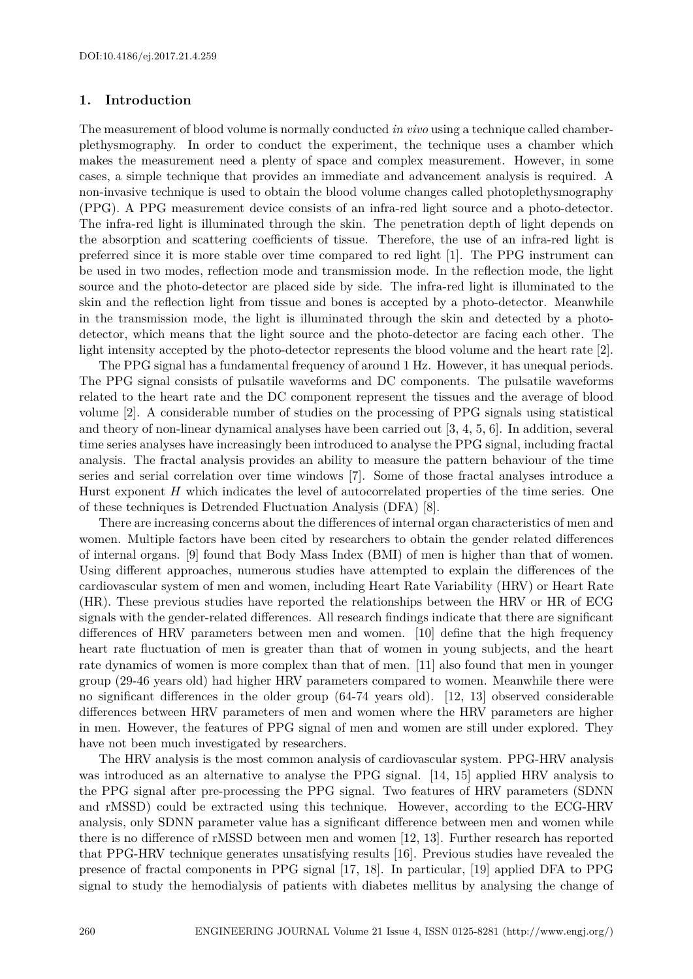#### **1. Introduction**

The measurement of blood volume is normally conducted *in vivo* using a technique called chamberplethysmography. In order to conduct the experiment, the technique uses a chamber which makes the measurement need a plenty of space and complex measurement. However, in some cases, a simple technique that provides an immediate and advancement analysis is required. A non-invasive technique is used to obtain the blood volume changes called photoplethysmography (PPG). A PPG measurement device consists of an infra-red light source and a photo-detector. The infra-red light is illuminated through the skin. The penetration depth of light depends on the absorption and scattering coefficients of tissue. Therefore, the use of an infra-red light is preferred since it is more stable over time compared to red light [1]. The PPG instrument can be used in two modes, reflection mode and transmission mode. In the reflection mode, the light source and the photo-detector are placed side by side. The infra-red light is illuminated to the skin and the reflection light from tissue and bones is accepted by a photo-detector. Meanwhile in the transmission mode, the light is illuminated through the skin and detected by a photodetector, which means that the light source and the photo-detector are facing each other. The light intensity accepted by the photo-detector represents the blood volume and the heart rate [2].

The PPG signal has a fundamental frequency of around 1 Hz. However, it has unequal periods. The PPG signal consists of pulsatile waveforms and DC components. The pulsatile waveforms related to the heart rate and the DC component represent the tissues and the average of blood volume [2]. A considerable number of studies on the processing of PPG signals using statistical and theory of non-linear dynamical analyses have been carried out [3, 4, 5, 6]. In addition, several time series analyses have increasingly been introduced to analyse the PPG signal, including fractal analysis. The fractal analysis provides an ability to measure the pattern behaviour of the time series and serial correlation over time windows [7]. Some of those fractal analyses introduce a Hurst exponent *H* which indicates the level of autocorrelated properties of the time series. One of these techniques is Detrended Fluctuation Analysis (DFA) [8].

There are increasing concerns about the differences of internal organ characteristics of men and women. Multiple factors have been cited by researchers to obtain the gender related differences of internal organs. [9] found that Body Mass Index (BMI) of men is higher than that of women. Using different approaches, numerous studies have attempted to explain the differences of the cardiovascular system of men and women, including Heart Rate Variability (HRV) or Heart Rate (HR). These previous studies have reported the relationships between the HRV or HR of ECG signals with the gender-related differences. All research findings indicate that there are significant differences of HRV parameters between men and women. [10] define that the high frequency heart rate fluctuation of men is greater than that of women in young subjects, and the heart rate dynamics of women is more complex than that of men. [11] also found that men in younger group (29-46 years old) had higher HRV parameters compared to women. Meanwhile there were no significant differences in the older group (64-74 years old). [12, 13] observed considerable differences between HRV parameters of men and women where the HRV parameters are higher in men. However, the features of PPG signal of men and women are still under explored. They have not been much investigated by researchers.

The HRV analysis is the most common analysis of cardiovascular system. PPG-HRV analysis was introduced as an alternative to analyse the PPG signal. [14, 15] applied HRV analysis to the PPG signal after pre-processing the PPG signal. Two features of HRV parameters (SDNN and rMSSD) could be extracted using this technique. However, according to the ECG-HRV analysis, only SDNN parameter value has a significant difference between men and women while there is no difference of rMSSD between men and women [12, 13]. Further research has reported that PPG-HRV technique generates unsatisfying results [16]. Previous studies have revealed the presence of fractal components in PPG signal [17, 18]. In particular, [19] applied DFA to PPG signal to study the hemodialysis of patients with diabetes mellitus by analysing the change of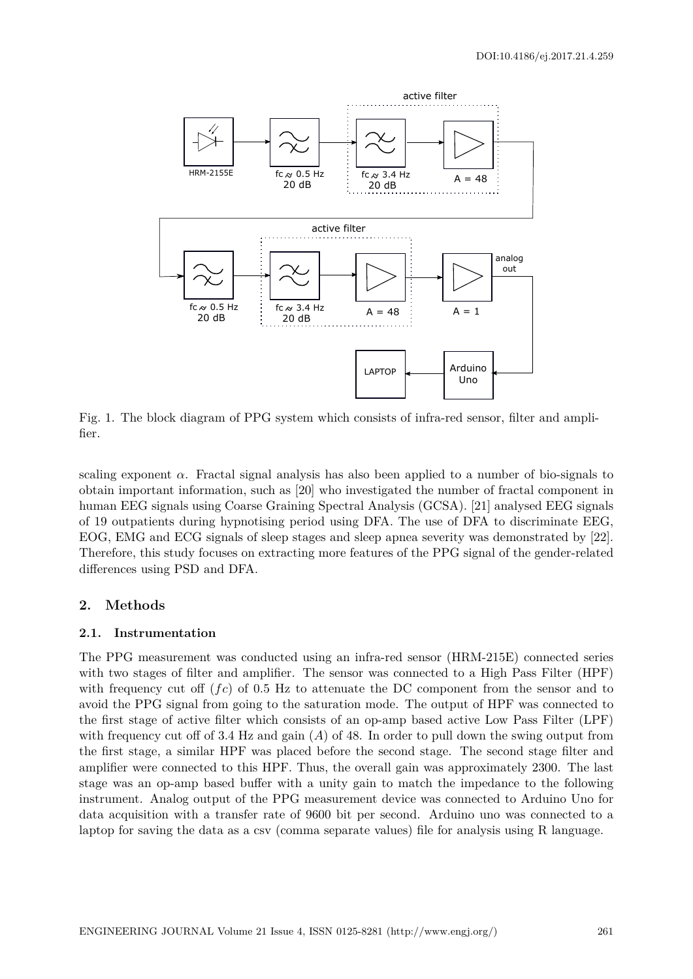

Fig. 1. The block diagram of PPG system which consists of infra-red sensor, filter and amplifier.

scaling exponent  $\alpha$ . Fractal signal analysis has also been applied to a number of bio-signals to obtain important information, such as [20] who investigated the number of fractal component in human EEG signals using Coarse Graining Spectral Analysis (GCSA). [21] analysed EEG signals of 19 outpatients during hypnotising period using DFA. The use of DFA to discriminate EEG, EOG, EMG and ECG signals of sleep stages and sleep apnea severity was demonstrated by [22]. Therefore, this study focuses on extracting more features of the PPG signal of the gender-related differences using PSD and DFA.

### **2. Methods**

#### **2.1. Instrumentation**

The PPG measurement was conducted using an infra-red sensor (HRM-215E) connected series with two stages of filter and amplifier. The sensor was connected to a High Pass Filter (HPF) with frequency cut off (*fc*) of 0.5 Hz to attenuate the DC component from the sensor and to avoid the PPG signal from going to the saturation mode. The output of HPF was connected to the first stage of active filter which consists of an op-amp based active Low Pass Filter (LPF) with frequency cut off of 3.4 Hz and gain (*A*) of 48. In order to pull down the swing output from the first stage, a similar HPF was placed before the second stage. The second stage filter and amplifier were connected to this HPF. Thus, the overall gain was approximately 2300. The last stage was an op-amp based buffer with a unity gain to match the impedance to the following instrument. Analog output of the PPG measurement device was connected to Arduino Uno for data acquisition with a transfer rate of 9600 bit per second. Arduino uno was connected to a laptop for saving the data as a csv (comma separate values) file for analysis using R language.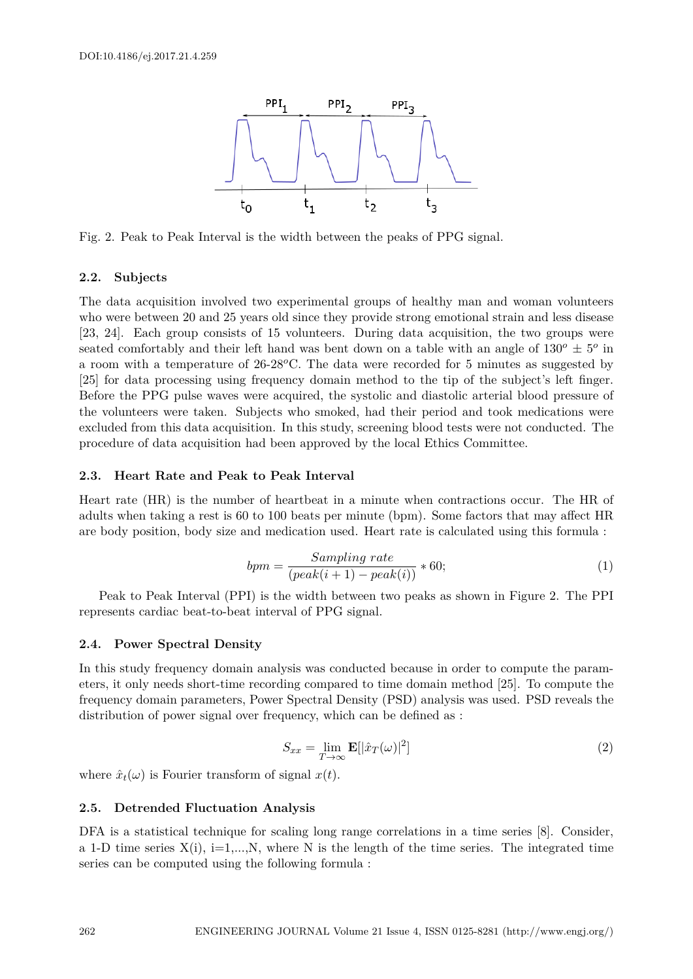

Fig. 2. Peak to Peak Interval is the width between the peaks of PPG signal.

#### **2.2. Subjects**

The data acquisition involved two experimental groups of healthy man and woman volunteers who were between 20 and 25 years old since they provide strong emotional strain and less disease [23, 24]. Each group consists of 15 volunteers. During data acquisition, the two groups were seated comfortably and their left hand was bent down on a table with an angle of  $130^o \pm 5^o$  in a room with a temperature of 26-28*o*C. The data were recorded for 5 minutes as suggested by [25] for data processing using frequency domain method to the tip of the subject's left finger. Before the PPG pulse waves were acquired, the systolic and diastolic arterial blood pressure of the volunteers were taken. Subjects who smoked, had their period and took medications were excluded from this data acquisition. In this study, screening blood tests were not conducted. The procedure of data acquisition had been approved by the local Ethics Committee.

#### **2.3. Heart Rate and Peak to Peak Interval**

Heart rate (HR) is the number of heartbeat in a minute when contractions occur. The HR of adults when taking a rest is 60 to 100 beats per minute (bpm). Some factors that may affect HR are body position, body size and medication used. Heart rate is calculated using this formula :

$$
bpm = \frac{Sampling\ rate}{(peak(i+1) - peak(i))} * 60;
$$
\n(1)

Peak to Peak Interval (PPI) is the width between two peaks as shown in Figure 2. The PPI represents cardiac beat-to-beat interval of PPG signal.

#### **2.4. Power Spectral Density**

In this study frequency domain analysis was conducted because in order to compute the parameters, it only needs short-time recording compared to time domain method [25]. To compute the frequency domain parameters, Power Spectral Density (PSD) analysis was used. PSD reveals the distribution of power signal over frequency, which can be defined as :

$$
S_{xx} = \lim_{T \to \infty} \mathbf{E}[|\hat{x}_T(\omega)|^2]
$$
 (2)

where  $\hat{x}_t(\omega)$  is Fourier transform of signal  $x(t)$ .

#### **2.5. Detrended Fluctuation Analysis**

DFA is a statistical technique for scaling long range correlations in a time series [8]. Consider, a 1-D time series  $X(i)$ , i=1,...,N, where N is the length of the time series. The integrated time series can be computed using the following formula :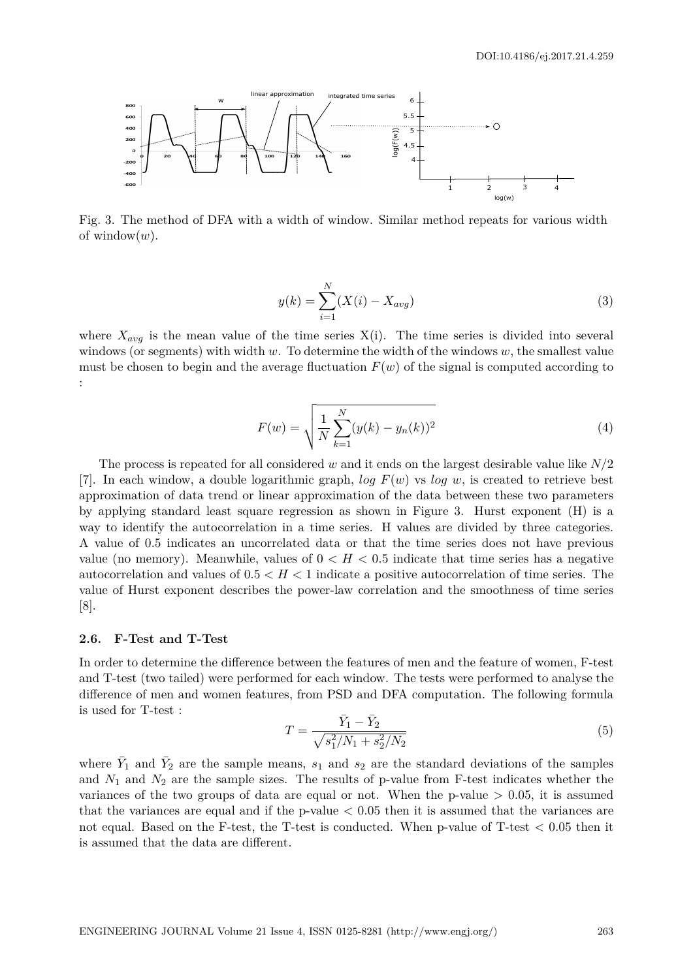

Fig. 3. The method of DFA with a width of window. Similar method repeats for various width of window(*w*).

$$
y(k) = \sum_{i=1}^{N} (X(i) - X_{avg})
$$
\n(3)

where  $X_{avg}$  is the mean value of the time series  $X(i)$ . The time series is divided into several windows (or segments) with width *w*. To determine the width of the windows *w*, the smallest value must be chosen to begin and the average fluctuation  $F(w)$  of the signal is computed according to :

$$
F(w) = \sqrt{\frac{1}{N} \sum_{k=1}^{N} (y(k) - y_n(k))^2}
$$
 (4)

The process is repeated for all considered *w* and it ends on the largest desirable value like *N/*2 [7]. In each window, a double logarithmic graph, *log F*(*w*) vs *log w*, is created to retrieve best approximation of data trend or linear approximation of the data between these two parameters by applying standard least square regression as shown in Figure 3. Hurst exponent (H) is a way to identify the autocorrelation in a time series. H values are divided by three categories. A value of 0.5 indicates an uncorrelated data or that the time series does not have previous value (no memory). Meanwhile, values of  $0 < H < 0.5$  indicate that time series has a negative autocorrelation and values of 0*.*5 *< H <* 1 indicate a positive autocorrelation of time series. The value of Hurst exponent describes the power-law correlation and the smoothness of time series [8].

#### **2.6. F-Test and T-Test**

In order to determine the difference between the features of men and the feature of women, F-test and T-test (two tailed) were performed for each window. The tests were performed to analyse the difference of men and women features, from PSD and DFA computation. The following formula is used for T-test :

$$
T = \frac{\bar{Y}_1 - \bar{Y}_2}{\sqrt{s_1^2/N_1 + s_2^2/N_2}}
$$
\n(5)

where  $\bar{Y}_1$  and  $\bar{Y}_2$  are the sample means,  $s_1$  and  $s_2$  are the standard deviations of the samples and  $N_1$  and  $N_2$  are the sample sizes. The results of p-value from F-test indicates whether the variances of the two groups of data are equal or not. When the p-value  $> 0.05$ , it is assumed that the variances are equal and if the p-value *<* 0.05 then it is assumed that the variances are not equal. Based on the F-test, the T-test is conducted. When p-value of T-test *<* 0.05 then it is assumed that the data are different.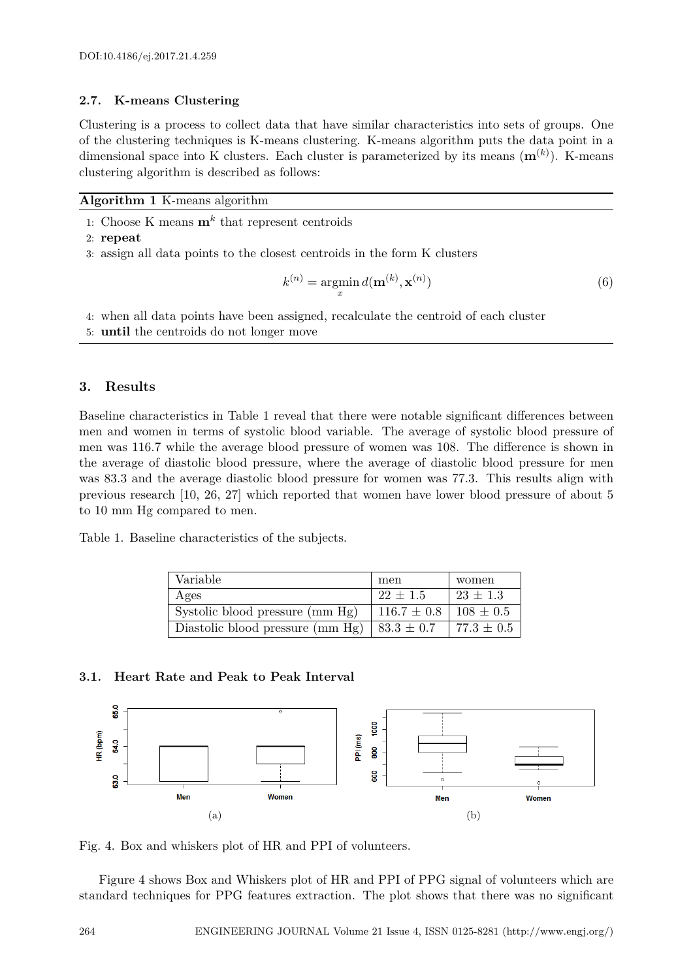#### **2.7. K-means Clustering**

Clustering is a process to collect data that have similar characteristics into sets of groups. One of the clustering techniques is K-means clustering. K-means algorithm puts the data point in a dimensional space into K clusters. Each cluster is parameterized by its means (**m**(*k*) ). K-means clustering algorithm is described as follows:

#### **Algorithm 1** K-means algorithm

- 1: Choose K means **m***<sup>k</sup>* that represent centroids
- 2: **repeat**
- 3: assign all data points to the closest centroids in the form K clusters

$$
k^{(n)} = \underset{x}{\operatorname{argmin}} d(\mathbf{m}^{(k)}, \mathbf{x}^{(n)})
$$
(6)

- 4: when all data points have been assigned, recalculate the centroid of each cluster
- 5: **until** the centroids do not longer move

#### **3. Results**

Baseline characteristics in Table 1 reveal that there were notable significant differences between men and women in terms of systolic blood variable. The average of systolic blood pressure of men was 116.7 while the average blood pressure of women was 108. The difference is shown in the average of diastolic blood pressure, where the average of diastolic blood pressure for men was 83.3 and the average diastolic blood pressure for women was 77.3. This results align with previous research [10, 26, 27] which reported that women have lower blood pressure of about 5 to 10 mm Hg compared to men.

Table 1. Baseline characteristics of the subjects.

| Variable                         | men             | women          |
|----------------------------------|-----------------|----------------|
| Ages                             | $22 \pm 1.5$    | $23 \pm 1.3$   |
| Systolic blood pressure (mm Hg)  | $116.7 \pm 0.8$ | $108 \pm 0.5$  |
| Diastolic blood pressure (mm Hg) | $83.3 \pm 0.7$  | $77.3 \pm 0.5$ |

#### **3.1. Heart Rate and Peak to Peak Interval**



Fig. 4. Box and whiskers plot of HR and PPI of volunteers.

Figure 4 shows Box and Whiskers plot of HR and PPI of PPG signal of volunteers which are standard techniques for PPG features extraction. The plot shows that there was no significant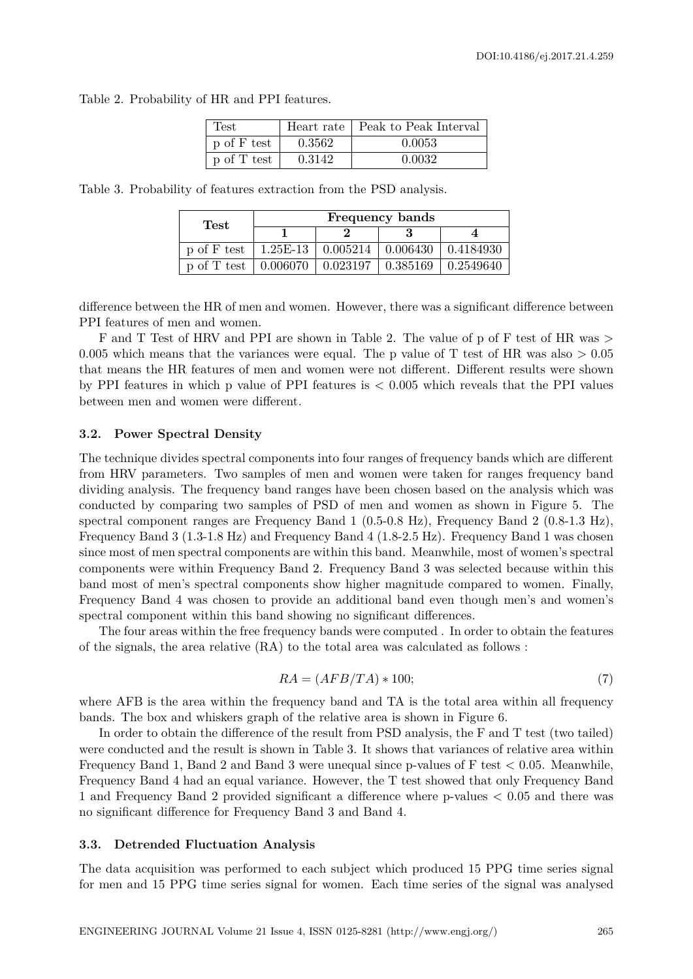Table 2. Probability of HR and PPI features.

| Test        |        | Heart rate   Peak to Peak Interval |
|-------------|--------|------------------------------------|
| p of F test | 0.3562 | 0.0053                             |
| p of T test | 0.3142 | 0.0032                             |

Table 3. Probability of features extraction from the PSD analysis.

| Test                                                             | <b>Frequency bands</b> |  |  |  |
|------------------------------------------------------------------|------------------------|--|--|--|
|                                                                  |                        |  |  |  |
| p of F test   1.25E-13   $0.005214$   $0.006430$   $0.4184930$   |                        |  |  |  |
| p of T test   $0.006070$   $0.023197$   $0.385169$   $0.2549640$ |                        |  |  |  |

difference between the HR of men and women. However, there was a significant difference between PPI features of men and women.

F and T Test of HRV and PPI are shown in Table 2. The value of p of F test of HR was *>* 0.005 which means that the variances were equal. The p value of T test of HR was also  $> 0.05$ that means the HR features of men and women were not different. Different results were shown by PPI features in which p value of PPI features is *<* 0.005 which reveals that the PPI values between men and women were different.

#### **3.2. Power Spectral Density**

The technique divides spectral components into four ranges of frequency bands which are different from HRV parameters. Two samples of men and women were taken for ranges frequency band dividing analysis. The frequency band ranges have been chosen based on the analysis which was conducted by comparing two samples of PSD of men and women as shown in Figure 5. The spectral component ranges are Frequency Band 1 (0.5-0.8 Hz), Frequency Band 2 (0.8-1.3 Hz), Frequency Band 3 (1.3-1.8 Hz) and Frequency Band 4 (1.8-2.5 Hz). Frequency Band 1 was chosen since most of men spectral components are within this band. Meanwhile, most of women's spectral components were within Frequency Band 2. Frequency Band 3 was selected because within this band most of men's spectral components show higher magnitude compared to women. Finally, Frequency Band 4 was chosen to provide an additional band even though men's and women's spectral component within this band showing no significant differences.

The four areas within the free frequency bands were computed . In order to obtain the features of the signals, the area relative (RA) to the total area was calculated as follows :

$$
RA = (AFB/TA) * 100;
$$
\n(7)

where AFB is the area within the frequency band and TA is the total area within all frequency bands. The box and whiskers graph of the relative area is shown in Figure 6.

In order to obtain the difference of the result from PSD analysis, the F and T test (two tailed) were conducted and the result is shown in Table 3. It shows that variances of relative area within Frequency Band 1, Band 2 and Band 3 were unequal since p-values of  $F$  test  $< 0.05$ . Meanwhile, Frequency Band 4 had an equal variance. However, the T test showed that only Frequency Band 1 and Frequency Band 2 provided significant a difference where p-values < 0.05 and there was no significant difference for Frequency Band 3 and Band 4.

#### **3.3. Detrended Fluctuation Analysis**

The data acquisition was performed to each subject which produced 15 PPG time series signal for men and 15 PPG time series signal for women. Each time series of the signal was analysed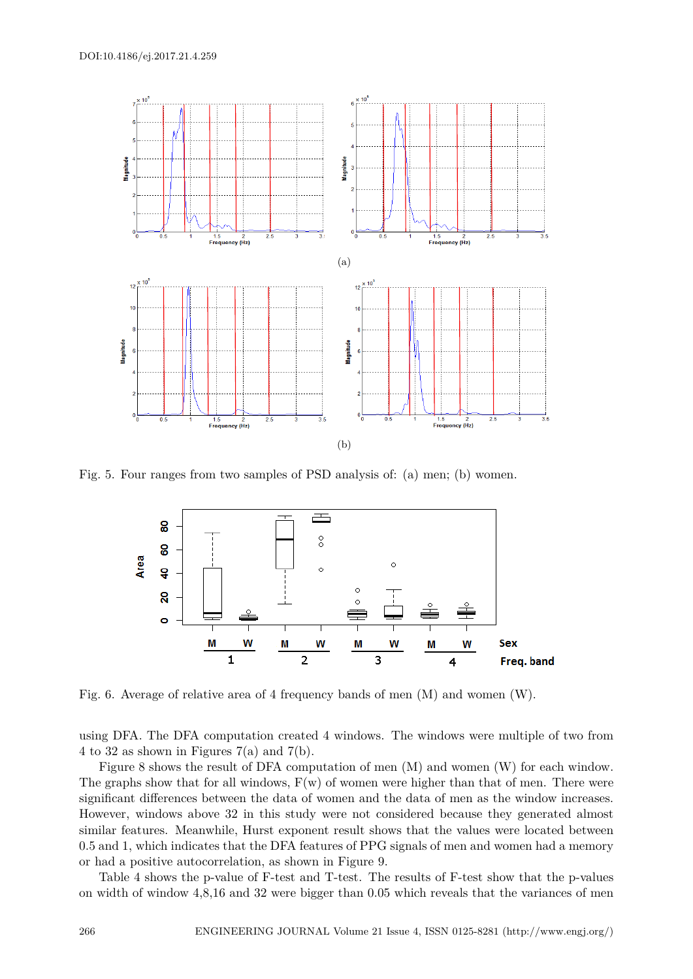

Fig. 5. Four ranges from two samples of PSD analysis of: (a) men; (b) women.



Fig. 6. Average of relative area of 4 frequency bands of men (M) and women (W).

using DFA. The DFA computation created 4 windows. The windows were multiple of two from 4 to 32 as shown in Figures 7(a) and 7(b).

Figure 8 shows the result of DFA computation of men (M) and women (W) for each window. The graphs show that for all windows,  $F(w)$  of women were higher than that of men. There were significant differences between the data of women and the data of men as the window increases. However, windows above 32 in this study were not considered because they generated almost similar features. Meanwhile, Hurst exponent result shows that the values were located between 0.5 and 1, which indicates that the DFA features of PPG signals of men and women had a memory or had a positive autocorrelation, as shown in Figure 9.

Table 4 shows the p-value of F-test and T-test. The results of F-test show that the p-values on width of window 4,8,16 and 32 were bigger than 0.05 which reveals that the variances of men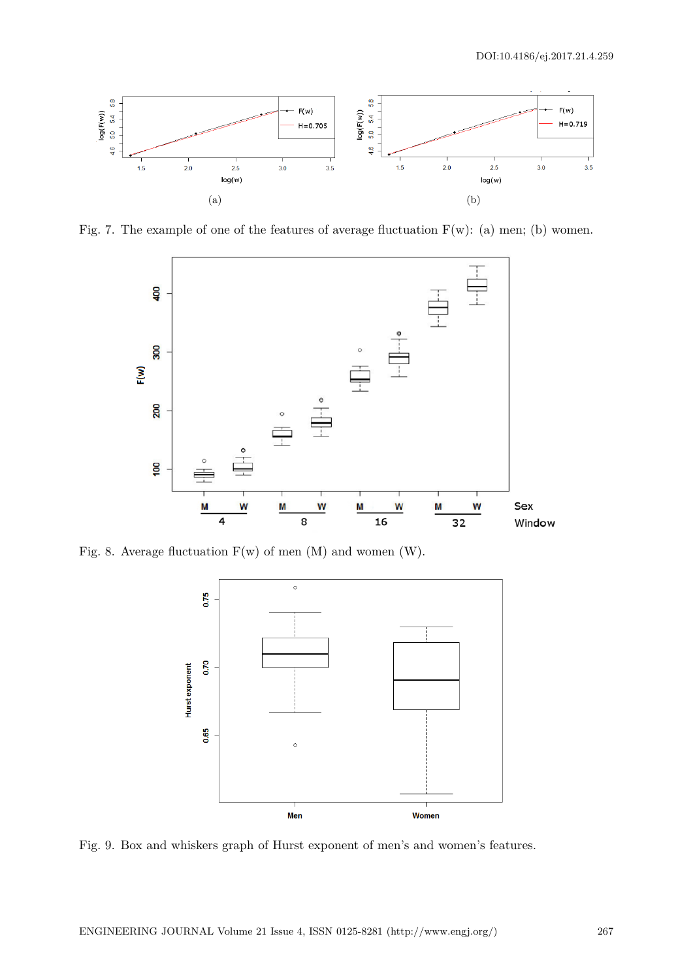

Fig. 7. The example of one of the features of average fluctuation  $F(w)$ : (a) men; (b) women.



Fig. 8. Average fluctuation  $F(w)$  of men  $(M)$  and women  $(W)$ .



Fig. 9. Box and whiskers graph of Hurst exponent of men's and women's features.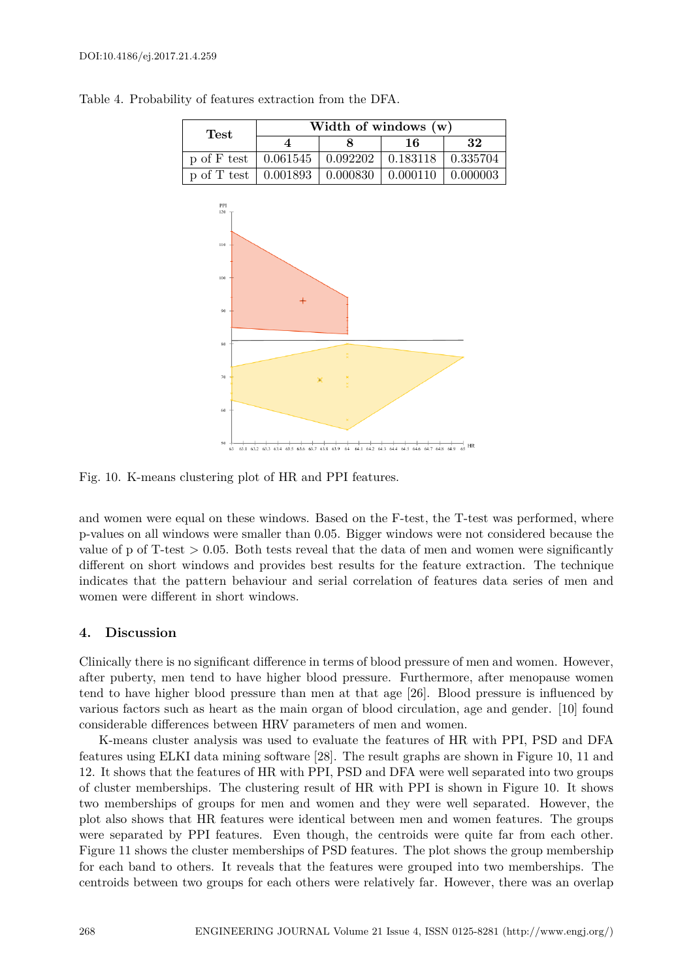#### DOI:10.4186/ej.2017.21.4.259



Table 4. Probability of features extraction from the DFA.

Fig. 10. K-means clustering plot of HR and PPI features.

and women were equal on these windows. Based on the F-test, the T-test was performed, where p-values on all windows were smaller than 0.05. Bigger windows were not considered because the value of p of T-test *>* 0.05. Both tests reveal that the data of men and women were significantly different on short windows and provides best results for the feature extraction. The technique indicates that the pattern behaviour and serial correlation of features data series of men and women were different in short windows.

#### **4. Discussion**

Clinically there is no significant difference in terms of blood pressure of men and women. However, after puberty, men tend to have higher blood pressure. Furthermore, after menopause women tend to have higher blood pressure than men at that age [26]. Blood pressure is influenced by various factors such as heart as the main organ of blood circulation, age and gender. [10] found considerable differences between HRV parameters of men and women.

K-means cluster analysis was used to evaluate the features of HR with PPI, PSD and DFA features using ELKI data mining software [28]. The result graphs are shown in Figure 10, 11 and 12. It shows that the features of HR with PPI, PSD and DFA were well separated into two groups of cluster memberships. The clustering result of HR with PPI is shown in Figure 10. It shows two memberships of groups for men and women and they were well separated. However, the plot also shows that HR features were identical between men and women features. The groups were separated by PPI features. Even though, the centroids were quite far from each other. Figure 11 shows the cluster memberships of PSD features. The plot shows the group membership for each band to others. It reveals that the features were grouped into two memberships. The centroids between two groups for each others were relatively far. However, there was an overlap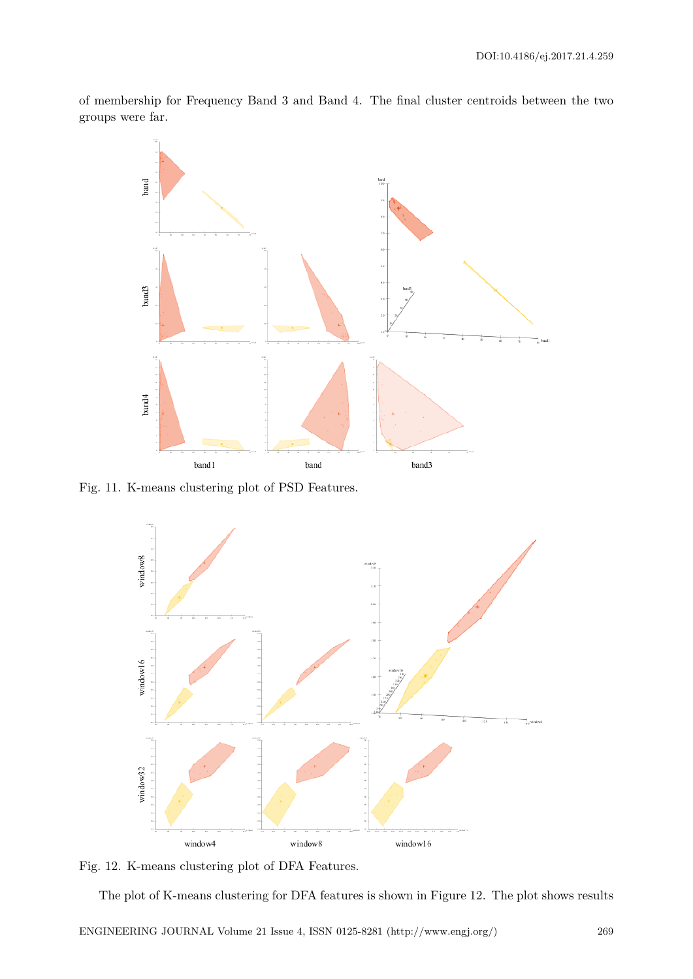of membership for Frequency Band 3 and Band 4. The final cluster centroids between the two groups were far.



Fig. 11. K-means clustering plot of PSD Features.



Fig. 12. K-means clustering plot of DFA Features.

The plot of K-means clustering for DFA features is shown in Figure 12. The plot shows results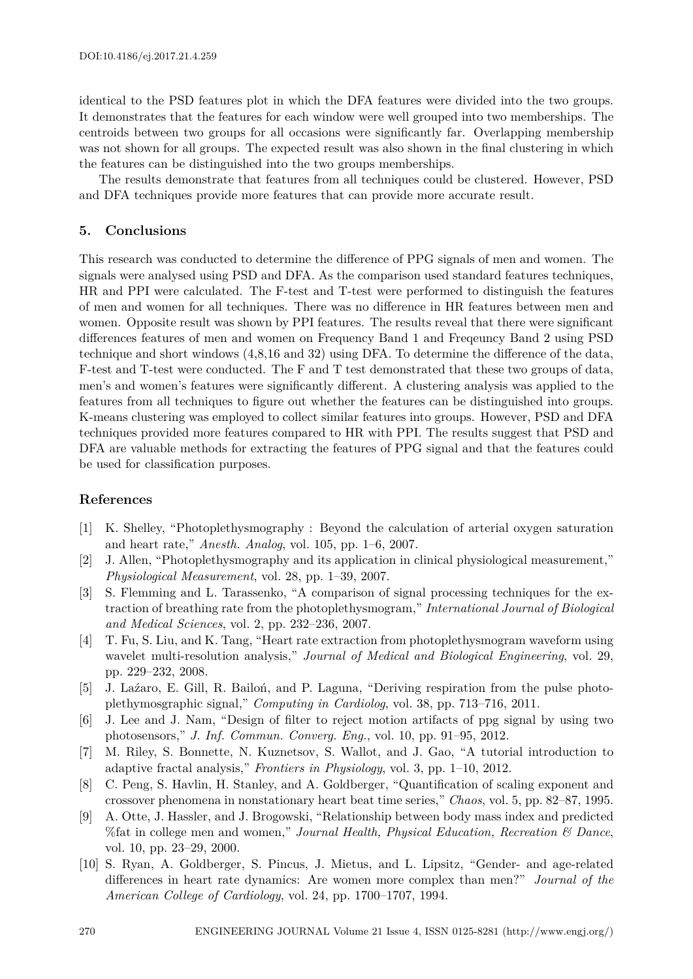identical to the PSD features plot in which the DFA features were divided into the two groups. It demonstrates that the features for each window were well grouped into two memberships. The centroids between two groups for all occasions were significantly far. Overlapping membership was not shown for all groups. The expected result was also shown in the final clustering in which the features can be distinguished into the two groups memberships.

The results demonstrate that features from all techniques could be clustered. However, PSD and DFA techniques provide more features that can provide more accurate result.

#### **5. Conclusions**

This research was conducted to determine the difference of PPG signals of men and women. The signals were analysed using PSD and DFA. As the comparison used standard features techniques, HR and PPI were calculated. The F-test and T-test were performed to distinguish the features of men and women for all techniques. There was no difference in HR features between men and women. Opposite result was shown by PPI features. The results reveal that there were significant differences features of men and women on Frequency Band 1 and Freqeuncy Band 2 using PSD technique and short windows (4,8,16 and 32) using DFA. To determine the difference of the data, F-test and T-test were conducted. The F and T test demonstrated that these two groups of data, men's and women's features were significantly different. A clustering analysis was applied to the features from all techniques to figure out whether the features can be distinguished into groups. K-means clustering was employed to collect similar features into groups. However, PSD and DFA techniques provided more features compared to HR with PPI. The results suggest that PSD and DFA are valuable methods for extracting the features of PPG signal and that the features could be used for classification purposes.

#### **References**

- [1] K. Shelley, "Photoplethysmography : Beyond the calculation of arterial oxygen saturation and heart rate," *Anesth. Analog*, vol. 105, pp. 1–6, 2007.
- [2] J. Allen, "Photoplethysmography and its application in clinical physiological measurement," *Physiological Measurement*, vol. 28, pp. 1–39, 2007.
- [3] S. Flemming and L. Tarassenko, "A comparison of signal processing techniques for the extraction of breathing rate from the photoplethysmogram," *International Journal of Biological and Medical Sciences*, vol. 2, pp. 232–236, 2007.
- [4] T. Fu, S. Liu, and K. Tang, "Heart rate extraction from photoplethysmogram waveform using wavelet multi-resolution analysis," *Journal of Medical and Biological Engineering*, vol. 29, pp. 229–232, 2008.
- [5] J. Laźaro, E. Gill, R. Bailoń, and P. Laguna, "Deriving respiration from the pulse photoplethymosgraphic signal," *Computing in Cardiolog*, vol. 38, pp. 713–716, 2011.
- [6] J. Lee and J. Nam, "Design of filter to reject motion artifacts of ppg signal by using two photosensors," *J. Inf. Commun. Converg. Eng.*, vol. 10, pp. 91–95, 2012.
- [7] M. Riley, S. Bonnette, N. Kuznetsov, S. Wallot, and J. Gao, "A tutorial introduction to adaptive fractal analysis," *Frontiers in Physiology*, vol. 3, pp. 1–10, 2012.
- [8] C. Peng, S. Havlin, H. Stanley, and A. Goldberger, "Quantification of scaling exponent and crossover phenomena in nonstationary heart beat time series," *Chaos*, vol. 5, pp. 82–87, 1995.
- [9] A. Otte, J. Hassler, and J. Brogowski, "Relationship between body mass index and predicted %fat in college men and women," *Journal Health, Physical Education, Recreation & Dance*, vol. 10, pp. 23–29, 2000.
- [10] S. Ryan, A. Goldberger, S. Pincus, J. Mietus, and L. Lipsitz, "Gender- and age-related differences in heart rate dynamics: Are women more complex than men?" *Journal of the American College of Cardiology*, vol. 24, pp. 1700–1707, 1994.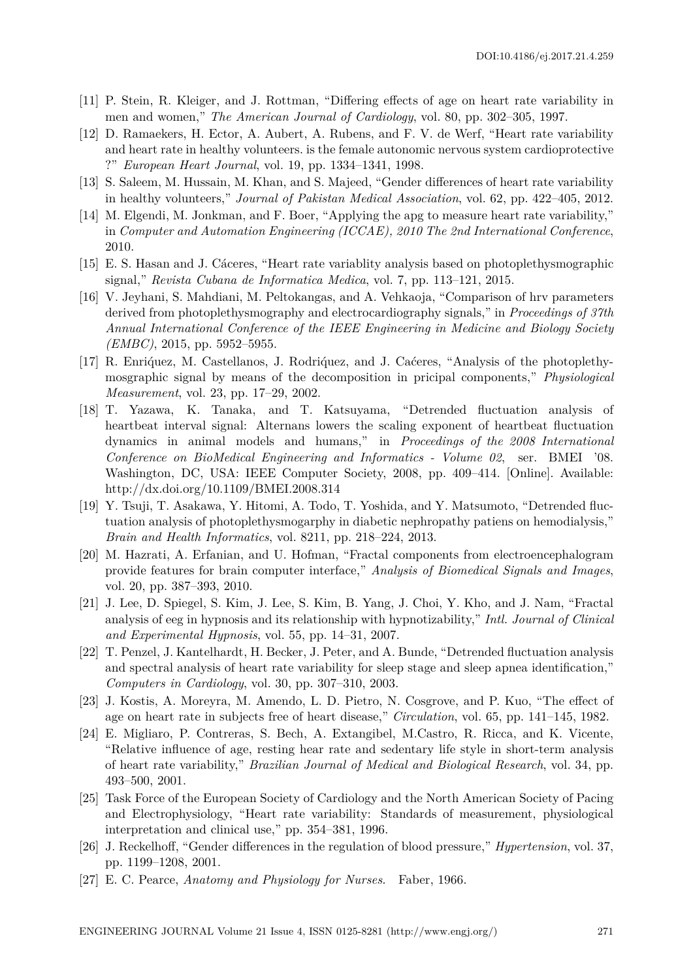- [11] P. Stein, R. Kleiger, and J. Rottman, "Differing effects of age on heart rate variability in men and women," *The American Journal of Cardiology*, vol. 80, pp. 302–305, 1997.
- [12] D. Ramaekers, H. Ector, A. Aubert, A. Rubens, and F. V. de Werf, "Heart rate variability and heart rate in healthy volunteers. is the female autonomic nervous system cardioprotective ?" *European Heart Journal*, vol. 19, pp. 1334–1341, 1998.
- [13] S. Saleem, M. Hussain, M. Khan, and S. Majeed, "Gender differences of heart rate variability in healthy volunteers," *Journal of Pakistan Medical Association*, vol. 62, pp. 422–405, 2012.
- [14] M. Elgendi, M. Jonkman, and F. Boer, "Applying the apg to measure heart rate variability," in *Computer and Automation Engineering (ICCAE), 2010 The 2nd International Conference*, 2010.
- [15] E. S. Hasan and J. Cáceres, "Heart rate variablity analysis based on photoplethysmographic signal," *Revista Cubana de Informatica Medica*, vol. 7, pp. 113–121, 2015.
- [16] V. Jeyhani, S. Mahdiani, M. Peltokangas, and A. Vehkaoja, "Comparison of hrv parameters derived from photoplethysmography and electrocardiography signals," in *Proceedings of 37th Annual International Conference of the IEEE Engineering in Medicine and Biology Society (EMBC)*, 2015, pp. 5952–5955.
- [17] R. Enriq́uez, M. Castellanos, J. Rodriq́uez, and J. Caćeres, "Analysis of the photoplethymosgraphic signal by means of the decomposition in pricipal components," *Physiological Measurement*, vol. 23, pp. 17–29, 2002.
- [18] T. Yazawa, K. Tanaka, and T. Katsuyama, "Detrended fluctuation analysis of heartbeat interval signal: Alternans lowers the scaling exponent of heartbeat fluctuation dynamics in animal models and humans," in *Proceedings of the 2008 International Conference on BioMedical Engineering and Informatics - Volume 02*, ser. BMEI '08. Washington, DC, USA: IEEE Computer Society, 2008, pp. 409–414. [Online]. Available: http://dx.doi.org/10.1109/BMEI.2008.314
- [19] Y. Tsuji, T. Asakawa, Y. Hitomi, A. Todo, T. Yoshida, and Y. Matsumoto, "Detrended fluctuation analysis of photoplethysmogarphy in diabetic nephropathy patiens on hemodialysis," *Brain and Health Informatics*, vol. 8211, pp. 218–224, 2013.
- [20] M. Hazrati, A. Erfanian, and U. Hofman, "Fractal components from electroencephalogram provide features for brain computer interface," *Analysis of Biomedical Signals and Images*, vol. 20, pp. 387–393, 2010.
- [21] J. Lee, D. Spiegel, S. Kim, J. Lee, S. Kim, B. Yang, J. Choi, Y. Kho, and J. Nam, "Fractal analysis of eeg in hypnosis and its relationship with hypnotizability," *Intl. Journal of Clinical and Experimental Hypnosis*, vol. 55, pp. 14–31, 2007.
- [22] T. Penzel, J. Kantelhardt, H. Becker, J. Peter, and A. Bunde, "Detrended fluctuation analysis and spectral analysis of heart rate variability for sleep stage and sleep apnea identification," *Computers in Cardiology*, vol. 30, pp. 307–310, 2003.
- [23] J. Kostis, A. Moreyra, M. Amendo, L. D. Pietro, N. Cosgrove, and P. Kuo, "The effect of age on heart rate in subjects free of heart disease," *Circulation*, vol. 65, pp. 141–145, 1982.
- [24] E. Migliaro, P. Contreras, S. Bech, A. Extangibel, M.Castro, R. Ricca, and K. Vicente, "Relative influence of age, resting hear rate and sedentary life style in short-term analysis of heart rate variability," *Brazilian Journal of Medical and Biological Research*, vol. 34, pp. 493–500, 2001.
- [25] Task Force of the European Society of Cardiology and the North American Society of Pacing and Electrophysiology, "Heart rate variability: Standards of measurement, physiological interpretation and clinical use," pp. 354–381, 1996.
- [26] J. Reckelhoff, "Gender differences in the regulation of blood pressure," *Hypertension*, vol. 37, pp. 1199–1208, 2001.
- [27] E. C. Pearce, *Anatomy and Physiology for Nurses*. Faber, 1966.